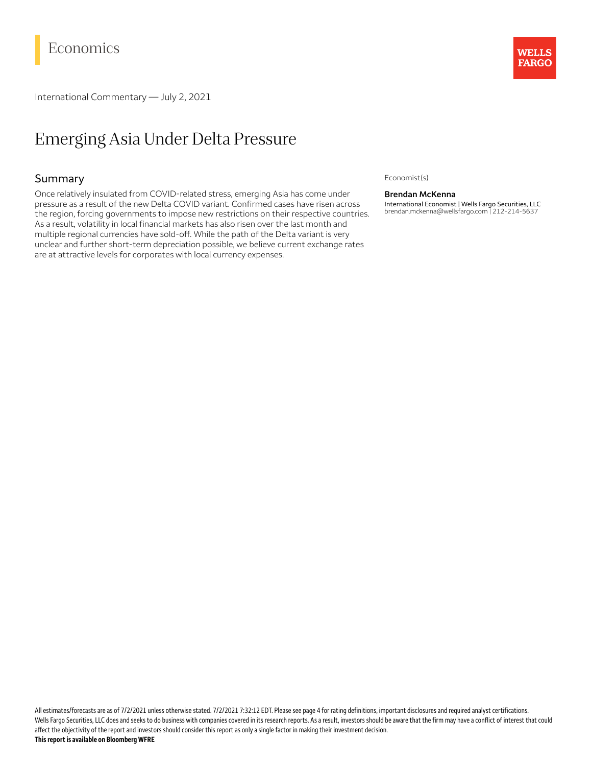# Economics

International Commentary — July 2, 2021

# Emerging Asia Under Delta Pressure

## Summary

Once relatively insulated from COVID-related stress, emerging Asia has come under pressure as a result of the new Delta COVID variant. Confirmed cases have risen across the region, forcing governments to impose new restrictions on their respective countries. As a result, volatility in local financial markets has also risen over the last month and multiple regional currencies have sold-off. While the path of the Delta variant is very unclear and further short-term depreciation possible, we believe current exchange rates are at attractive levels for corporates with local currency expenses.



Economist(s)

### **Brendan McKenna**

International Economist | Wells Fargo Securities, LLC brendan.mckenna@wellsfargo.com | 212-214-5637

All estimates/forecasts are as of 7/2/2021 unless otherwise stated. 7/2/2021 7:32:12 EDT. Please see page 4 for rating definitions, important disclosures and required analyst certifications. Wells Fargo Securities, LLC does and seeks to do business with companies covered in its research reports. As a result, investors should be aware that the firm may have a conflict of interest that could affect the objectivity of the report and investors should consider this report as only a single factor in making their investment decision. **Thisreportis available on Bloomberg WFRE**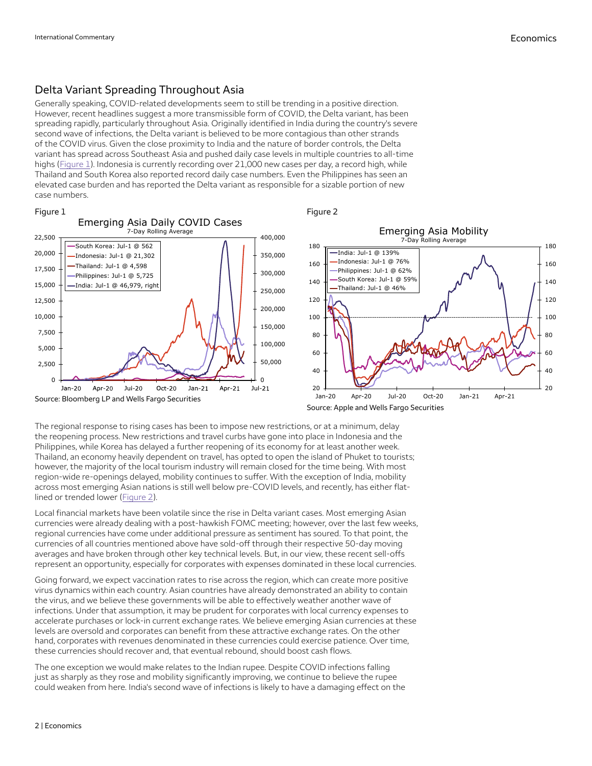## Delta Variant Spreading Throughout Asia

Generally speaking, COVID-related developments seem to still be trending in a positive direction. However, recent headlines suggest a more transmissible form of COVID, the Delta variant, has been spreading rapidly, particularly throughout Asia. Originally identified in India during the country's severe second wave of infections, the Delta variant is believed to be more contagious than other strands of the COVID virus. Given the close proximity to India and the nature of border controls, the Delta variant has spread across Southeast Asia and pushed daily case levels in multiple countries to all-time highs ([Figure](#page-1-0) 1). Indonesia is currently recording over 21,000 new cases per day, a record high, while Thailand and South Korea also reported record daily case numbers. Even the Philippines has seen an elevated case burden and has reported the Delta variant as responsible for a sizable portion of new case numbers.

### <span id="page-1-0"></span>Figure 1



<span id="page-1-1"></span>Figure 2

The regional response to rising cases has been to impose new restrictions, or at a minimum, delay the reopening process. New restrictions and travel curbs have gone into place in Indonesia and the Philippines, while Korea has delayed a further reopening of its economy for at least another week. Thailand, an economy heavily dependent on travel, has opted to open the island of Phuket to tourists; however, the majority of the local tourism industry will remain closed for the time being. With most region-wide re-openings delayed, mobility continues to suffer. With the exception of India, mobility across most emerging Asian nations is still well below pre-COVID levels, and recently, has either flatlined or trended lower ([Figure](#page-1-1) 2).

Local financial markets have been volatile since the rise in Delta variant cases. Most emerging Asian currencies were already dealing with a post-hawkish FOMC meeting; however, over the last few weeks, regional currencies have come under additional pressure as sentiment has soured. To that point, the currencies of all countries mentioned above have sold-off through their respective 50-day moving averages and have broken through other key technical levels. But, in our view, these recent sell-offs represent an opportunity, especially for corporates with expenses dominated in these local currencies.

Going forward, we expect vaccination rates to rise across the region, which can create more positive virus dynamics within each country. Asian countries have already demonstrated an ability to contain the virus, and we believe these governments will be able to effectively weather another wave of infections. Under that assumption, it may be prudent for corporates with local currency expenses to accelerate purchases or lock-in current exchange rates. We believe emerging Asian currencies at these levels are oversold and corporates can benefit from these attractive exchange rates. On the other hand, corporates with revenues denominated in these currencies could exercise patience. Over time, these currencies should recover and, that eventual rebound, should boost cash flows.

The one exception we would make relates to the Indian rupee. Despite COVID infections falling just as sharply as they rose and mobility significantly improving, we continue to believe the rupee could weaken from here. India's second wave of infections is likely to have a damaging effect on the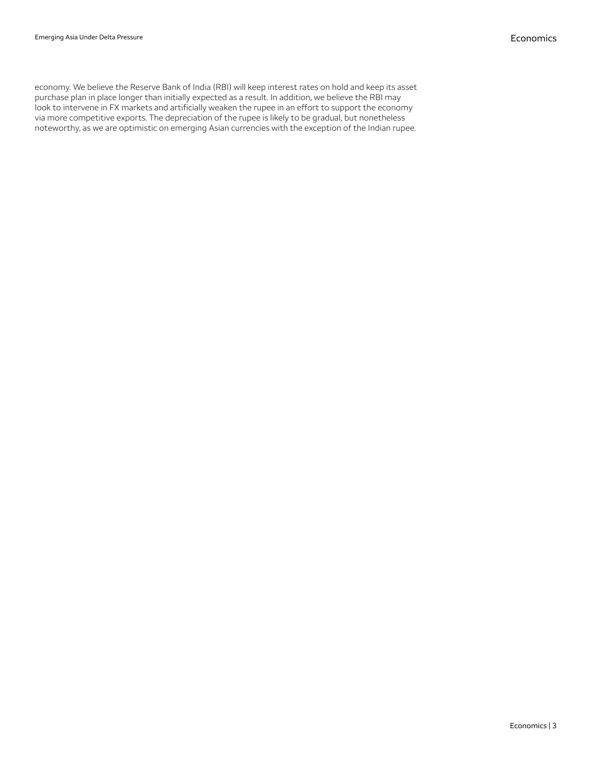economy. We believe the Reserve Bank of India (RBI) will keep interest rates on hold and keep its asset purchase plan in place longer than initially expected as a result. In addition, we believe the RBI may look to intervene in FX markets and artificially weaken the rupee in an effort to support the economy via more competitive exports. The depreciation of the rupee is likely to be gradual, but nonetheless noteworthy, as we are optimistic on emerging Asian currencies with the exception of the Indian rupee.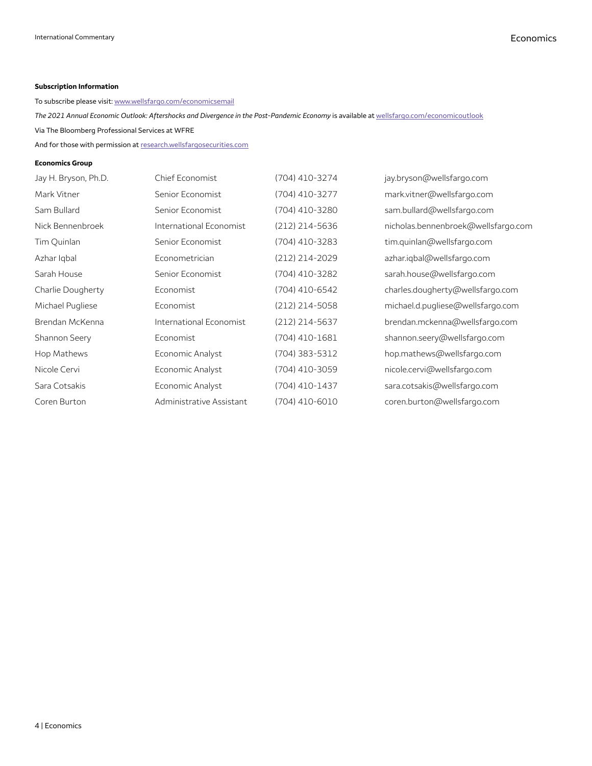## **Subscription Information**

To subscribe please visit: [www.wellsfargo.com/economicsemail](http://www.wellsfargo.com/economicsemail)

*The 2021 Annual Economic Outlook: Aftershocks and Divergence in the Post-Pandemic Economy* is available at [wellsfargo.com/economicoutlook](http://wellsfargo.com/economicoutlook)

Via The Bloomberg Professional Services at WFRE

And for those with permission at [research.wellsfargosecurities.com](https://research.wellsfargosecurities.com/)

### **Economics Group**

| Jay H. Bryson, Ph.D. | Chief Economist          | (704) 410-3274 | jay.bryson@wellsfargo.com           |
|----------------------|--------------------------|----------------|-------------------------------------|
| Mark Vitner          | Senior Economist         | (704) 410-3277 | mark.vitner@wellsfargo.com          |
| Sam Bullard          | Senior Economist         | (704) 410-3280 | sam.bullard@wellsfargo.com          |
| Nick Bennenbroek     | International Economist  | (212) 214-5636 | nicholas.bennenbroek@wellsfargo.com |
| Tim Quinlan          | Senior Economist         | (704) 410-3283 | tim.quinlan@wellsfargo.com          |
| Azhar Igbal          | Econometrician           | (212) 214-2029 | azhar.iqbal@wellsfarqo.com          |
| Sarah House          | Senior Economist         | (704) 410-3282 | sarah.house@wellsfargo.com          |
| Charlie Dougherty    | Economist                | (704) 410-6542 | charles.dougherty@wellsfargo.com    |
| Michael Pugliese     | Economist                | (212) 214-5058 | michael.d.pugliese@wellsfargo.com   |
| Brendan McKenna      | International Economist  | (212) 214-5637 | brendan.mckenna@wellsfargo.com      |
| Shannon Seery        | Economist                | (704) 410-1681 | shannon.seery@wellsfargo.com        |
| Hop Mathews          | Economic Analyst         | (704) 383-5312 | hop.mathews@wellsfargo.com          |
| Nicole Cervi         | Economic Analyst         | (704) 410-3059 | nicole.cervi@wellsfargo.com         |
| Sara Cotsakis        | Economic Analyst         | (704) 410-1437 | sara.cotsakis@wellsfargo.com        |
| Coren Burton         | Administrative Assistant | (704) 410-6010 | coren.burton@wellsfargo.com         |
|                      |                          |                |                                     |